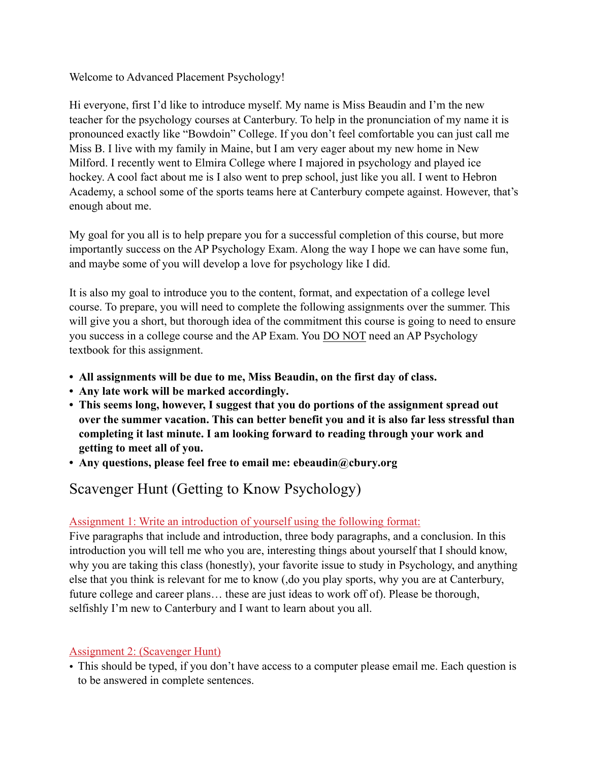Welcome to Advanced Placement Psychology!

Hi everyone, first I'd like to introduce myself. My name is Miss Beaudin and I'm the new teacher for the psychology courses at Canterbury. To help in the pronunciation of my name it is pronounced exactly like "Bowdoin" College. If you don't feel comfortable you can just call me Miss B. I live with my family in Maine, but I am very eager about my new home in New Milford. I recently went to Elmira College where I majored in psychology and played ice hockey. A cool fact about me is I also went to prep school, just like you all. I went to Hebron Academy, a school some of the sports teams here at Canterbury compete against. However, that's enough about me.

My goal for you all is to help prepare you for a successful completion of this course, but more importantly success on the AP Psychology Exam. Along the way I hope we can have some fun, and maybe some of you will develop a love for psychology like I did.

It is also my goal to introduce you to the content, format, and expectation of a college level course. To prepare, you will need to complete the following assignments over the summer. This will give you a short, but thorough idea of the commitment this course is going to need to ensure you success in a college course and the AP Exam. You DO NOT need an AP Psychology textbook for this assignment.

- **All assignments will be due to me, Miss Beaudin, on the first day of class.**
- **Any late work will be marked accordingly.**
- **This seems long, however, I suggest that you do portions of the assignment spread out over the summer vacation. This can better benefit you and it is also far less stressful than completing it last minute. I am looking forward to reading through your work and getting to meet all of you.**
- **• Any questions, please feel free to email me: ebeaudin@cbury.org**

# Scavenger Hunt (Getting to Know Psychology)

### Assignment 1: Write an introduction of yourself using the following format:

Five paragraphs that include and introduction, three body paragraphs, and a conclusion. In this introduction you will tell me who you are, interesting things about yourself that I should know, why you are taking this class (honestly), your favorite issue to study in Psychology, and anything else that you think is relevant for me to know (,do you play sports, why you are at Canterbury, future college and career plans… these are just ideas to work off of). Please be thorough, selfishly I'm new to Canterbury and I want to learn about you all.

### Assignment 2: (Scavenger Hunt)

• This should be typed, if you don't have access to a computer please email me. Each question is to be answered in complete sentences.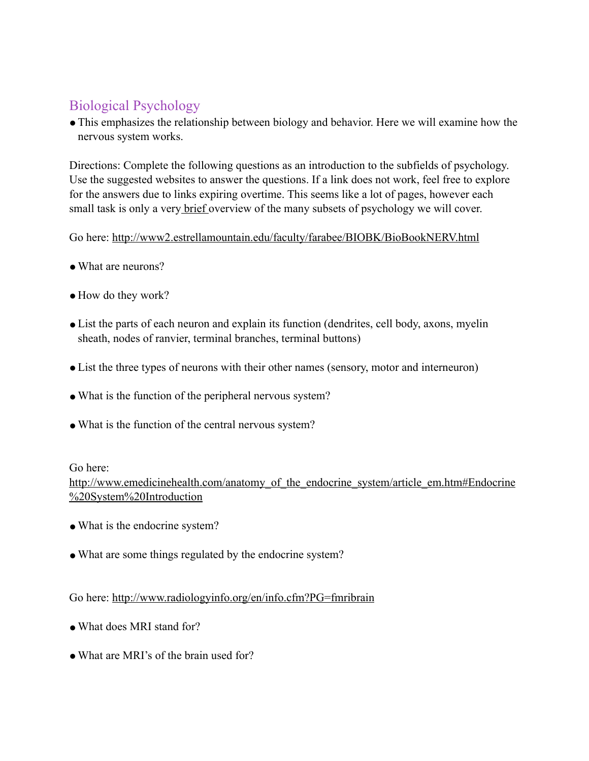# Biological Psychology

• This emphasizes the relationship between biology and behavior. Here we will examine how the nervous system works.

Directions: Complete the following questions as an introduction to the subfields of psychology. Use the suggested websites to answer the questions. If a link does not work, feel free to explore for the answers due to links expiring overtime. This seems like a lot of pages, however each small task is only a very brief overview of the many subsets of psychology we will cover.

Go here: http://www2.estrellamountain.edu/faculty/farabee/BIOBK/BioBookNERV.html

- What are neurons?
- How do they work?
- List the parts of each neuron and explain its function (dendrites, cell body, axons, myelin sheath, nodes of ranvier, terminal branches, terminal buttons)
- List the three types of neurons with their other names (sensory, motor and interneuron)
- What is the function of the peripheral nervous system?
- What is the function of the central nervous system?

#### Go here:

http://www.emedicinehealth.com/anatomy\_of\_the\_endocrine\_system/article\_em.htm#Endocrine %20System%20Introduction

- What is the endocrine system?
- What are some things regulated by the endocrine system?

Go here: http://www.radiologyinfo.org/en/info.cfm?PG=fmribrain

- What does MRI stand for?
- What are MRI's of the brain used for?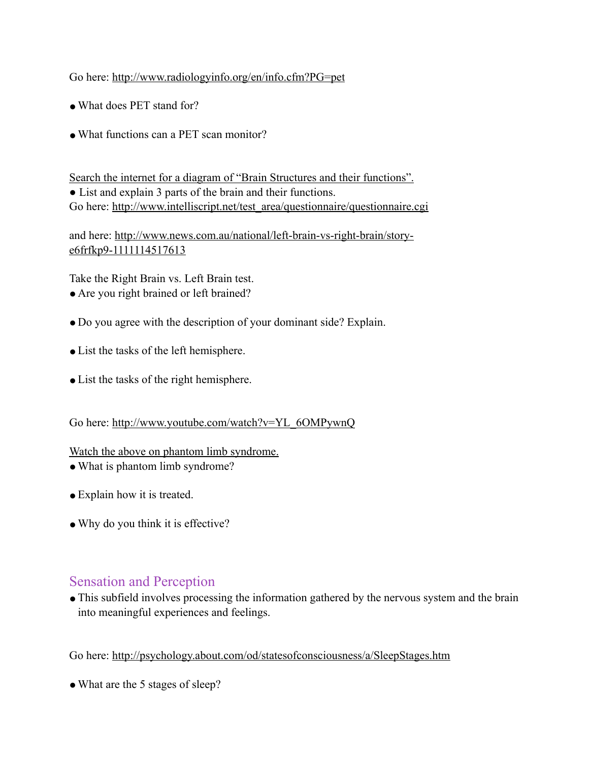### Go here: http://www.radiologyinfo.org/en/info.cfm?PG=pet

- What does PET stand for?
- What functions can a PET scan monitor?

Search the internet for a diagram of "Brain Structures and their functions". • List and explain 3 parts of the brain and their functions. Go here: http://www.intelliscript.net/test\_area/questionnaire/questionnaire.cgi

and here: http://www.news.com.au/national/left-brain-vs-right-brain/storye6frfkp9-1111114517613

Take the Right Brain vs. Left Brain test.

- Are you right brained or left brained?
- Do you agree with the description of your dominant side? Explain.
- List the tasks of the left hemisphere.
- List the tasks of the right hemisphere.

Go here: http://www.youtube.com/watch?v=YL\_6OMPywnQ

#### Watch the above on phantom limb syndrome.

- What is phantom limb syndrome?
- Explain how it is treated.
- Why do you think it is effective?

### Sensation and Perception

• This subfield involves processing the information gathered by the nervous system and the brain into meaningful experiences and feelings.

Go here: http://psychology.about.com/od/statesofconsciousness/a/SleepStages.htm

• What are the 5 stages of sleep?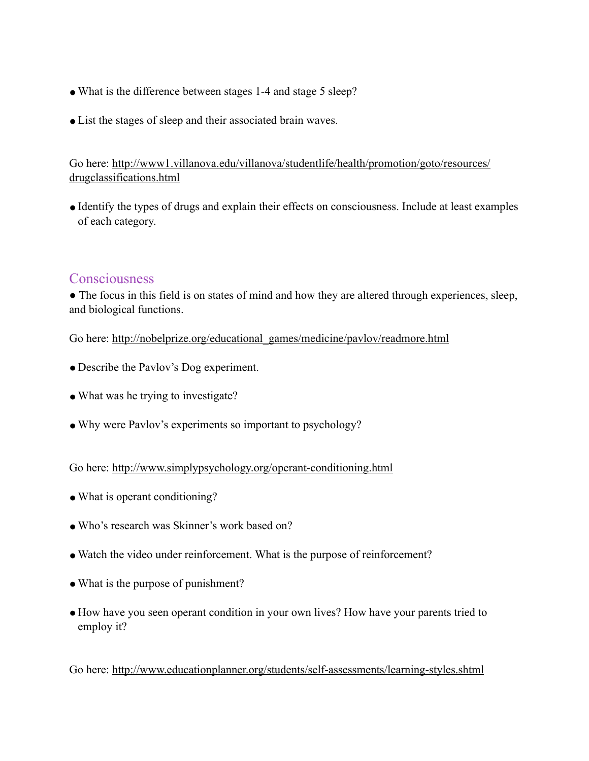- What is the difference between stages 1-4 and stage 5 sleep?
- List the stages of sleep and their associated brain waves.

Go here: http://www1.villanova.edu/villanova/studentlife/health/promotion/goto/resources/ drugclassifications.html

●Identify the types of drugs and explain their effects on consciousness. Include at least examples of each category.

### Consciousness

• The focus in this field is on states of mind and how they are altered through experiences, sleep, and biological functions.

Go here: http://nobelprize.org/educational\_games/medicine/pavlov/readmore.html

- Describe the Pavlov's Dog experiment.
- What was he trying to investigate?
- ●Why were Pavlov's experiments so important to psychology?

Go here: http://www.simplypsychology.org/operant-conditioning.html

- What is operant conditioning?
- Who's research was Skinner's work based on?
- ●Watch the video under reinforcement. What is the purpose of reinforcement?
- What is the purpose of punishment?
- How have you seen operant condition in your own lives? How have your parents tried to employ it?

Go here: http://www.educationplanner.org/students/self-assessments/learning-styles.shtml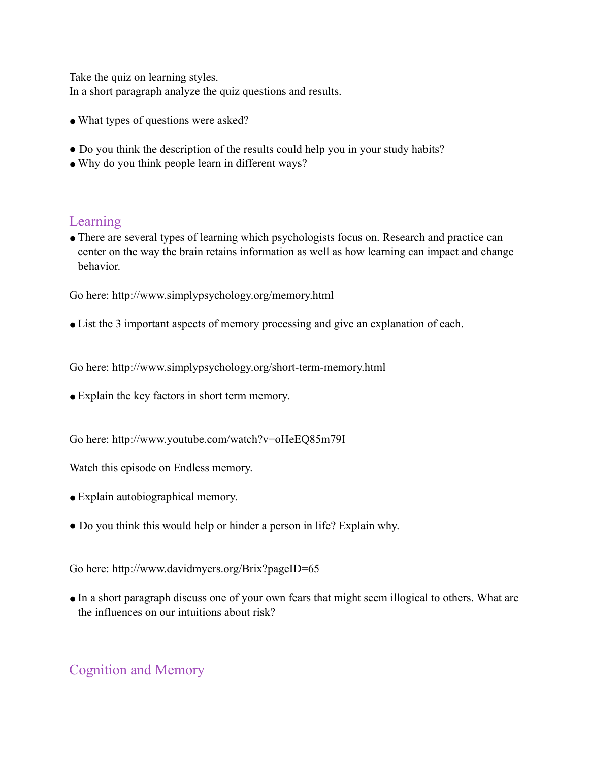Take the quiz on learning styles.

In a short paragraph analyze the quiz questions and results.

- What types of questions were asked?
- Do you think the description of the results could help you in your study habits?
- Why do you think people learn in different ways?

### Learning

●There are several types of learning which psychologists focus on. Research and practice can center on the way the brain retains information as well as how learning can impact and change behavior.

Go here: http://www.simplypsychology.org/memory.html

●List the 3 important aspects of memory processing and give an explanation of each.

Go here: http://www.simplypsychology.org/short-term-memory.html

• Explain the key factors in short term memory.

#### Go here: http://www.youtube.com/watch?v=oHeEQ85m79I

Watch this episode on Endless memory.

- Explain autobiographical memory.
- Do you think this would help or hinder a person in life? Explain why.

#### Go here: http://www.davidmyers.org/Brix?pageID=65

●In a short paragraph discuss one of your own fears that might seem illogical to others. What are the influences on our intuitions about risk?

## Cognition and Memory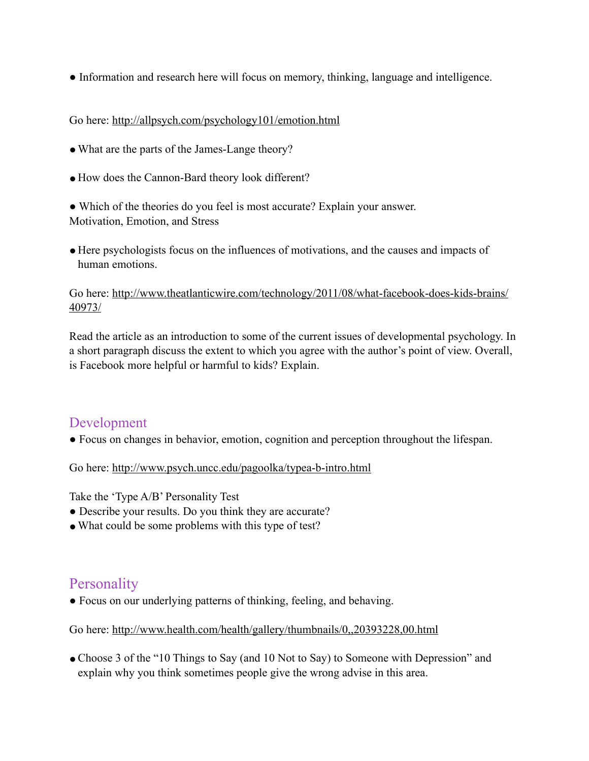● Information and research here will focus on memory, thinking, language and intelligence.

#### Go here: http://allpsych.com/psychology101/emotion.html

- What are the parts of the James-Lange theory?
- How does the Cannon-Bard theory look different?

• Which of the theories do you feel is most accurate? Explain your answer. Motivation, Emotion, and Stress

● Here psychologists focus on the influences of motivations, and the causes and impacts of human emotions.

#### Go here: http://www.theatlanticwire.com/technology/2011/08/what-facebook-does-kids-brains/ 40973/

Read the article as an introduction to some of the current issues of developmental psychology. In a short paragraph discuss the extent to which you agree with the author's point of view. Overall, is Facebook more helpful or harmful to kids? Explain.

### Development

● Focus on changes in behavior, emotion, cognition and perception throughout the lifespan.

Go here: http://www.psych.uncc.edu/pagoolka/typea-b-intro.html

Take the 'Type A/B' Personality Test

- Describe your results. Do you think they are accurate?
- What could be some problems with this type of test?

### Personality

● Focus on our underlying patterns of thinking, feeling, and behaving.

Go here: http://www.health.com/health/gallery/thumbnails/0,,20393228,00.html

• Choose 3 of the "10 Things to Say (and 10 Not to Say) to Someone with Depression" and explain why you think sometimes people give the wrong advise in this area.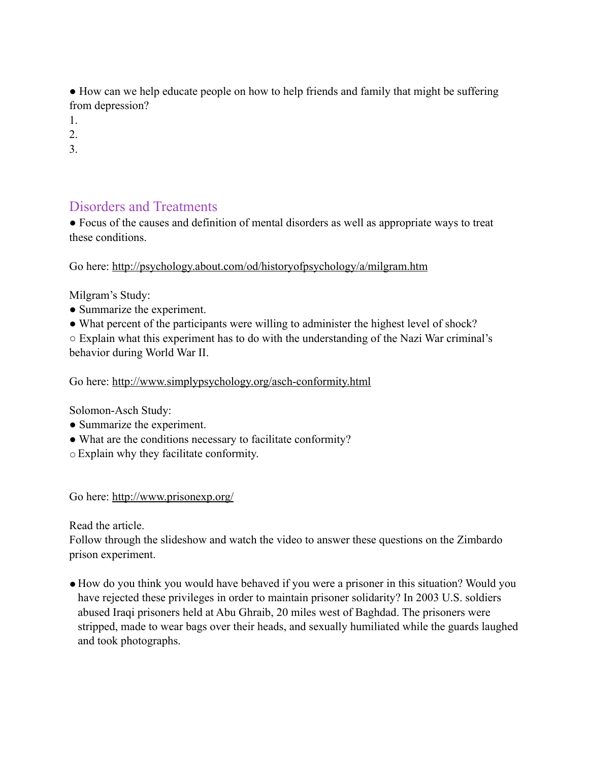● How can we help educate people on how to help friends and family that might be suffering from depression?

1.

2.

3.

### Disorders and Treatments

● Focus of the causes and definition of mental disorders as well as appropriate ways to treat these conditions.

Go here: http://psychology.about.com/od/historyofpsychology/a/milgram.htm

Milgram's Study:

- Summarize the experiment.
- What percent of the participants were willing to administer the highest level of shock?

○ Explain what this experiment has to do with the understanding of the Nazi War criminal's behavior during World War II.

Go here: http://www.simplypsychology.org/asch-conformity.html

Solomon-Asch Study:

- Summarize the experiment.
- What are the conditions necessary to facilitate conformity?
- ○Explain why they facilitate conformity.

Go here: http://www.prisonexp.org/

Read the article.

Follow through the slideshow and watch the video to answer these questions on the Zimbardo prison experiment.

● How do you think you would have behaved if you were a prisoner in this situation? Would you have rejected these privileges in order to maintain prisoner solidarity? In 2003 U.S. soldiers abused Iraqi prisoners held at Abu Ghraib, 20 miles west of Baghdad. The prisoners were stripped, made to wear bags over their heads, and sexually humiliated while the guards laughed and took photographs.